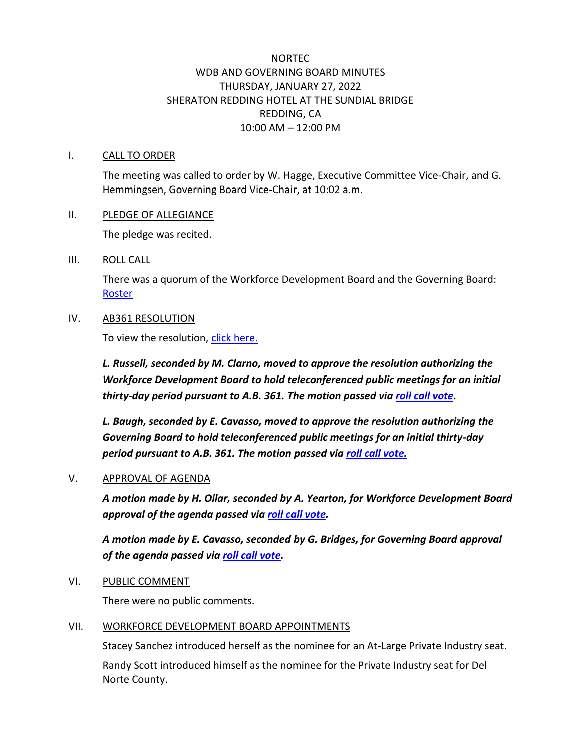# NORTEC WDB AND GOVERNING BOARD MINUTES THURSDAY, JANUARY 27, 2022 SHERATON REDDING HOTEL AT THE SUNDIAL BRIDGE REDDING, CA 10:00 AM – 12:00 PM

#### I. CALL TO ORDER

The meeting was called to order by W. Hagge, Executive Committee Vice-Chair, and G. Hemmingsen, Governing Board Vice-Chair, at 10:02 a.m.

#### II. PLEDGE OF ALLEGIANCE

The pledge was recited.

#### III. ROLL CALL

There was a quorum of the Workforce Development Board and the Governing Board: [Roster](http://ncen.org/images/Meetings/WDGB%20-%20January%202022/Roster-0122.pdf)

#### IV. AB361 RESOLUTION

To view the resolution, [click here.](https://www.ncen.org/images/documents/meetings/2021-2022/NoRTEC-Resolution-BrownAct-WDB-GB.pdf)

*L. Russell, seconded by M. Clarno, moved to approve the resolution authorizing the Workforce Development Board to hold teleconferenced public meetings for an initial thirty-day period pursuant to A.B. 361. The motion passed via [roll call vote.](http://ncen.org/images/Meetings/WDGB%20-%20January%202022/roster-AB361-WDB.pdf)*

*L. Baugh, seconded by E. Cavasso, moved to approve the resolution authorizing the Governing Board to hold teleconferenced public meetings for an initial thirty-day period pursuant to A.B. 361. The motion passed via [roll call vote.](https://ncen.org/images/Meetings/WDGB%20-%20January%202022/roster-AB361-GB.pdf)*

#### V. APPROVAL OF AGENDA

*A motion made by H. Oilar, seconded by A. Yearton, for Workforce Development Board approval of the agenda passed via [roll call vote.](https://ncen.org/images/Meetings/WDGB%20-%20January%202022/roster-Agenda-WDB.pdf)*

*A motion made by E. Cavasso, seconded by G. Bridges, for Governing Board approval of the agenda passed via [roll call vote.](https://ncen.org/images/Meetings/WDGB%20-%20January%202022/roster-Agenda-GB.pdf)*

VI. PUBLIC COMMENT

There were no public comments.

#### VII. WORKFORCE DEVELOPMENT BOARD APPOINTMENTS

Stacey Sanchez introduced herself as the nominee for an At-Large Private Industry seat.

Randy Scott introduced himself as the nominee for the Private Industry seat for Del Norte County.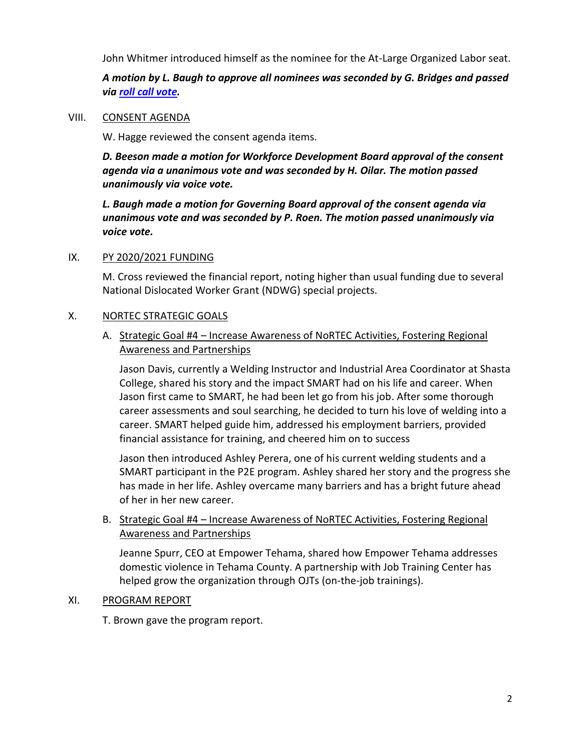John Whitmer introduced himself as the nominee for the At-Large Organized Labor seat.

*A motion by L. Baugh to approve all nominees was seconded by G. Bridges and passed via [roll call vote.](https://ncen.org/images/Meetings/WDGB%20-%20January%202022/roster-Nominees-GB.pdf)*

#### VIII. CONSENT AGENDA

W. Hagge reviewed the consent agenda items.

*D. Beeson made a motion for Workforce Development Board approval of the consent agenda via a unanimous vote and was seconded by H. Oilar. The motion passed unanimously via voice vote.*

*L. Baugh made a motion for Governing Board approval of the consent agenda via unanimous vote and was seconded by P. Roen. The motion passed unanimously via voice vote.*

#### IX. PY 2020/2021 FUNDING

M. Cross reviewed the financial report, noting higher than usual funding due to several National Dislocated Worker Grant (NDWG) special projects.

### X. NORTEC STRATEGIC GOALS

# A. Strategic Goal #4 – Increase Awareness of NoRTEC Activities, Fostering Regional Awareness and Partnerships

Jason Davis, currently a Welding Instructor and Industrial Area Coordinator at Shasta College, shared his story and the impact SMART had on his life and career. When Jason first came to SMART, he had been let go from his job. After some thorough career assessments and soul searching, he decided to turn his love of welding into a career. SMART helped guide him, addressed his employment barriers, provided financial assistance for training, and cheered him on to success

Jason then introduced Ashley Perera, one of his current welding students and a SMART participant in the P2E program. Ashley shared her story and the progress she has made in her life. Ashley overcame many barriers and has a bright future ahead of her in her new career.

## B. Strategic Goal #4 – Increase Awareness of NoRTEC Activities, Fostering Regional Awareness and Partnerships

Jeanne Spurr, CEO at Empower Tehama, shared how Empower Tehama addresses domestic violence in Tehama County. A partnership with Job Training Center has helped grow the organization through OJTs (on-the-job trainings).

### XI. PROGRAM REPORT

T. Brown gave the program report.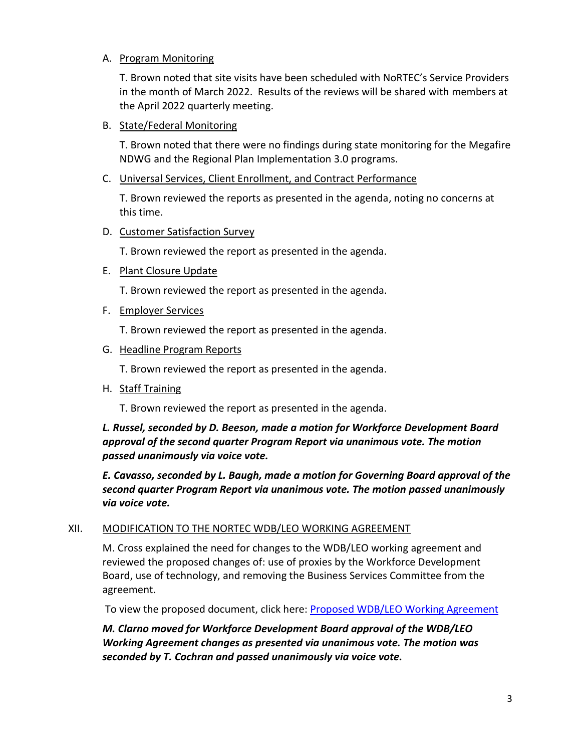# A. Program Monitoring

T. Brown noted that site visits have been scheduled with NoRTEC's Service Providers in the month of March 2022. Results of the reviews will be shared with members at the April 2022 quarterly meeting.

## B. State/Federal Monitoring

T. Brown noted that there were no findings during state monitoring for the Megafire NDWG and the Regional Plan Implementation 3.0 programs.

### C. Universal Services, Client Enrollment, and Contract Performance

T. Brown reviewed the reports as presented in the agenda, noting no concerns at this time.

## D. Customer Satisfaction Survey

T. Brown reviewed the report as presented in the agenda.

## E. Plant Closure Update

T. Brown reviewed the report as presented in the agenda.

## F. Employer Services

T. Brown reviewed the report as presented in the agenda.

## G. Headline Program Reports

T. Brown reviewed the report as presented in the agenda.

# H. Staff Training

T. Brown reviewed the report as presented in the agenda.

# *L. Russel, seconded by D. Beeson, made a motion for Workforce Development Board approval of the second quarter Program Report via unanimous vote. The motion passed unanimously via voice vote.*

*E. Cavasso, seconded by L. Baugh, made a motion for Governing Board approval of the second quarter Program Report via unanimous vote. The motion passed unanimously via voice vote.*

### XII. MODIFICATION TO THE NORTEC WDB/LEO WORKING AGREEMENT

M. Cross explained the need for changes to the WDB/LEO working agreement and reviewed the proposed changes of: use of proxies by the Workforce Development Board, use of technology, and removing the Business Services Committee from the agreement.

To view the proposed document, click here: [Proposed WDB/LEO Working Agreement](https://www.ncen.org/images/documents/meetings/2021-2022/Draft-WDB-LEO-AGREEMENT.pdf)

*M. Clarno moved for Workforce Development Board approval of the WDB/LEO Working Agreement changes as presented via unanimous vote. The motion was seconded by T. Cochran and passed unanimously via voice vote.*